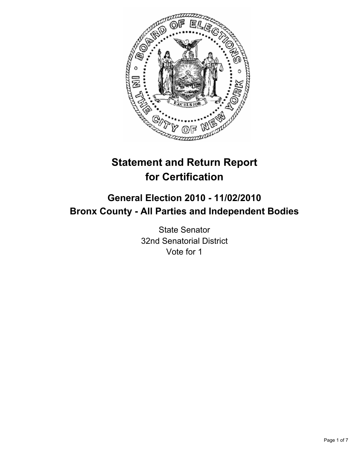

# **Statement and Return Report for Certification**

## **General Election 2010 - 11/02/2010 Bronx County - All Parties and Independent Bodies**

State Senator 32nd Senatorial District Vote for 1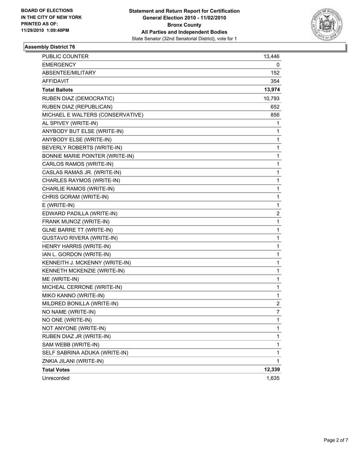

| PUBLIC COUNTER                         | 13,446                  |
|----------------------------------------|-------------------------|
| <b>EMERGENCY</b>                       | 0                       |
| ABSENTEE/MILITARY                      | 152                     |
| AFFIDAVIT                              | 354                     |
| <b>Total Ballots</b>                   | 13,974                  |
| RUBEN DIAZ (DEMOCRATIC)                | 10,793                  |
| RUBEN DIAZ (REPUBLICAN)                | 652                     |
| MICHAEL E WALTERS (CONSERVATIVE)       | 856                     |
| AL SPIVEY (WRITE-IN)                   | 1                       |
| ANYBODY BUT ELSE (WRITE-IN)            | 1                       |
| ANYBODY ELSE (WRITE-IN)                | 1                       |
| BEVERLY ROBERTS (WRITE-IN)             | 1                       |
| <b>BONNIE MARIE POINTER (WRITE-IN)</b> | 1                       |
| CARLOS RAMOS (WRITE-IN)                | 1                       |
| CASLAS RAMAS JR. (WRITE-IN)            | 1                       |
| CHARLES RAYMOS (WRITE-IN)              | 1                       |
| CHARLIE RAMOS (WRITE-IN)               | 1                       |
| CHRIS GORAM (WRITE-IN)                 | 1                       |
| E (WRITE-IN)                           | 1                       |
| EDWARD PADILLA (WRITE-IN)              | $\overline{\mathbf{c}}$ |
| FRANK MUNOZ (WRITE-IN)                 | 1                       |
| <b>GLNE BARRE TT (WRITE-IN)</b>        | 1                       |
| <b>GUSTAVO RIVERA (WRITE-IN)</b>       | 1                       |
| HENRY HARRIS (WRITE-IN)                | 1                       |
| IAN L. GORDON (WRITE-IN)               | 1                       |
| KENNEITH J. MCKENNY (WRITE-IN)         | 1                       |
| KENNETH MCKENZIE (WRITE-IN)            | 1                       |
| ME (WRITE-IN)                          | 1                       |
| MICHEAL CERRONE (WRITE-IN)             | 1                       |
| MIKO KANNO (WRITE-IN)                  | 1                       |
| MILDRED BONILLA (WRITE-IN)             | $\overline{\mathbf{c}}$ |
| NO NAME (WRITE-IN)                     | 7                       |
| NO ONE (WRITE-IN)                      | 1                       |
| NOT ANYONE (WRITE-IN)                  | 1                       |
| RUBEN DIAZ JR (WRITE-IN)               | 1                       |
| SAM WEBB (WRITE-IN)                    | 1                       |
| SELF SABRINA ADUKA (WRITE-IN)          | $\mathbf 1$             |
| ZNKIA JILANI (WRITE-IN)                | 1                       |
| <b>Total Votes</b>                     | 12,339                  |
| Unrecorded                             | 1,635                   |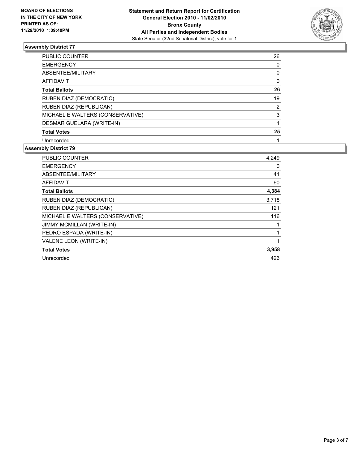

| <b>PUBLIC COUNTER</b>            | 26 |
|----------------------------------|----|
| <b>EMERGENCY</b>                 | 0  |
| ABSENTEE/MILITARY                | 0  |
| <b>AFFIDAVIT</b>                 | 0  |
| <b>Total Ballots</b>             | 26 |
| RUBEN DIAZ (DEMOCRATIC)          | 19 |
| RUBEN DIAZ (REPUBLICAN)          | 2  |
| MICHAEL E WALTERS (CONSERVATIVE) | 3  |
| DESMAR GUELARA (WRITE-IN)        |    |
| <b>Total Votes</b>               | 25 |
| Unrecorded                       |    |

| <b>PUBLIC COUNTER</b>            | 4,249 |
|----------------------------------|-------|
| <b>EMERGENCY</b>                 | 0     |
| ABSENTEE/MILITARY                | 41    |
| AFFIDAVIT                        | 90    |
| <b>Total Ballots</b>             | 4,384 |
| RUBEN DIAZ (DEMOCRATIC)          | 3,718 |
| RUBEN DIAZ (REPUBLICAN)          | 121   |
| MICHAEL E WALTERS (CONSERVATIVE) | 116   |
| <b>JIMMY MCMILLAN (WRITE-IN)</b> |       |
| PEDRO ESPADA (WRITE-IN)          |       |
| VALENE LEON (WRITE-IN)           |       |
| <b>Total Votes</b>               | 3,958 |
| Unrecorded                       | 426   |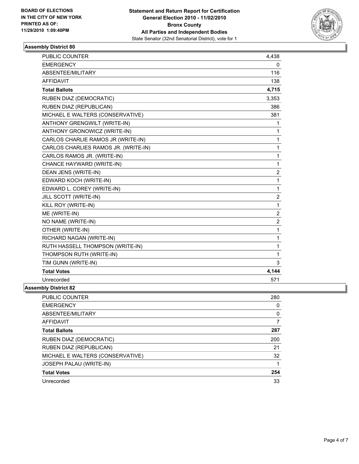

| PUBLIC COUNTER                       | 4,438          |
|--------------------------------------|----------------|
| <b>EMERGENCY</b>                     | $\mathbf{0}$   |
| ABSENTEE/MILITARY                    | 116            |
| <b>AFFIDAVIT</b>                     | 138            |
| <b>Total Ballots</b>                 | 4,715          |
| RUBEN DIAZ (DEMOCRATIC)              | 3,353          |
| RUBEN DIAZ (REPUBLICAN)              | 386            |
| MICHAEL E WALTERS (CONSERVATIVE)     | 381            |
| ANTHONY GRENGWILT (WRITE-IN)         | 1              |
| ANTHONY GRONOWICZ (WRITE-IN)         | 1              |
| CARLOS CHARLIE RAMOS JR (WRITE-IN)   | 1              |
| CARLOS CHARLIES RAMOS JR. (WRITE-IN) | 1              |
| CARLOS RAMOS JR. (WRITE-IN)          | 1              |
| CHANCE HAYWARD (WRITE-IN)            | 1              |
| DEAN JENS (WRITE-IN)                 | $\overline{2}$ |
| EDWARD KOCH (WRITE-IN)               | 1              |
| EDWARD L. COREY (WRITE-IN)           | 1              |
| JILL SCOTT (WRITE-IN)                | $\overline{2}$ |
| KILL ROY (WRITE-IN)                  | 1              |
| ME (WRITE-IN)                        | $\overline{2}$ |
| NO NAME (WRITE-IN)                   | $\overline{2}$ |
| OTHER (WRITE-IN)                     | 1              |
| RICHARD NAGAN (WRITE-IN)             | 1              |
| RUTH HASSELL THOMPSON (WRITE-IN)     | 1              |
| THOMPSON RUTH (WRITE-IN)             | 1              |
| TIM GUNN (WRITE-IN)                  | 3              |
| <b>Total Votes</b>                   | 4,144          |
| Unrecorded                           | 571            |
| <b>Assembly District 82</b>          |                |

| PUBLIC COUNTER                   | 280 |
|----------------------------------|-----|
| <b>EMERGENCY</b>                 | 0   |
| ABSENTEE/MILITARY                | 0   |
| <b>AFFIDAVIT</b>                 |     |
| <b>Total Ballots</b>             | 287 |
| <b>RUBEN DIAZ (DEMOCRATIC)</b>   | 200 |
| RUBEN DIAZ (REPUBLICAN)          | 21  |
| MICHAEL E WALTERS (CONSERVATIVE) | 32  |
| JOSEPH PALAU (WRITE-IN)          |     |
| <b>Total Votes</b>               | 254 |
| Unrecorded                       | 33  |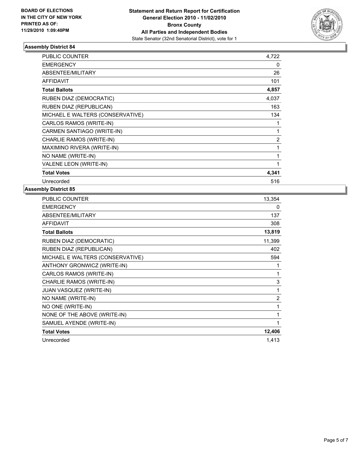

| PUBLIC COUNTER                   | 4,722        |
|----------------------------------|--------------|
| <b>EMERGENCY</b>                 | 0            |
| ABSENTEE/MILITARY                | 26           |
| <b>AFFIDAVIT</b>                 | 101          |
| <b>Total Ballots</b>             | 4,857        |
| RUBEN DIAZ (DEMOCRATIC)          | 4,037        |
| RUBEN DIAZ (REPUBLICAN)          | 163          |
| MICHAEL E WALTERS (CONSERVATIVE) | 134          |
| CARLOS RAMOS (WRITE-IN)          | 1            |
| CARMEN SANTIAGO (WRITE-IN)       | 1            |
| CHARLIE RAMOS (WRITE-IN)         | 2            |
| MAXIMINO RIVERA (WRITE-IN)       | 1            |
| NO NAME (WRITE-IN)               | $\mathbf{1}$ |
| VALENE LEON (WRITE-IN)           | 1            |
| <b>Total Votes</b>               | 4,341        |
| Unrecorded                       | 516          |

| PUBLIC COUNTER                   | 13,354         |
|----------------------------------|----------------|
| <b>EMERGENCY</b>                 | 0              |
| ABSENTEE/MILITARY                | 137            |
| <b>AFFIDAVIT</b>                 | 308            |
| <b>Total Ballots</b>             | 13,819         |
| RUBEN DIAZ (DEMOCRATIC)          | 11,399         |
| RUBEN DIAZ (REPUBLICAN)          | 402            |
| MICHAEL E WALTERS (CONSERVATIVE) | 594            |
| ANTHONY GRONWICZ (WRITE-IN)      | 1              |
| CARLOS RAMOS (WRITE-IN)          | 1              |
| CHARLIE RAMOS (WRITE-IN)         | 3              |
| JUAN VASQUEZ (WRITE-IN)          | 1              |
| NO NAME (WRITE-IN)               | $\overline{2}$ |
| NO ONE (WRITE-IN)                | 1              |
| NONE OF THE ABOVE (WRITE-IN)     | 1              |
| SAMUEL AYENDE (WRITE-IN)         | 1              |
| <b>Total Votes</b>               | 12,406         |
| Unrecorded                       | 1,413          |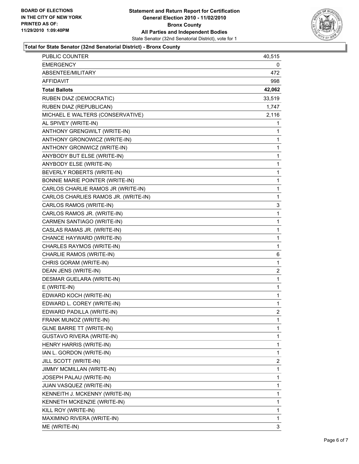

#### **Total for State Senator (32nd Senatorial District) - Bronx County**

| PUBLIC COUNTER                       | 40,515         |
|--------------------------------------|----------------|
| <b>EMERGENCY</b>                     | 0              |
| ABSENTEE/MILITARY                    | 472.           |
| AFFIDAVIT                            | 998            |
| <b>Total Ballots</b>                 | 42,062         |
| RUBEN DIAZ (DEMOCRATIC)              | 33,519         |
| RUBEN DIAZ (REPUBLICAN)              | 1,747          |
| MICHAEL E WALTERS (CONSERVATIVE)     | 2,116          |
| AL SPIVEY (WRITE-IN)                 | 1              |
| ANTHONY GRENGWILT (WRITE-IN)         | 1              |
| ANTHONY GRONOWICZ (WRITE-IN)         | 1              |
| ANTHONY GRONWICZ (WRITE-IN)          | 1              |
| ANYBODY BUT ELSE (WRITE-IN)          | 1              |
| ANYBODY ELSE (WRITE-IN)              | $\mathbf{1}$   |
| BEVERLY ROBERTS (WRITE-IN)           | 1              |
| BONNIE MARIE POINTER (WRITE-IN)      | 1              |
| CARLOS CHARLIE RAMOS JR (WRITE-IN)   | $\mathbf{1}$   |
| CARLOS CHARLIES RAMOS JR. (WRITE-IN) | 1              |
| CARLOS RAMOS (WRITE-IN)              | 3              |
| CARLOS RAMOS JR. (WRITE-IN)          | 1              |
| CARMEN SANTIAGO (WRITE-IN)           | 1              |
| CASLAS RAMAS JR. (WRITE-IN)          | 1              |
| CHANCE HAYWARD (WRITE-IN)            | $\mathbf{1}$   |
| CHARLES RAYMOS (WRITE-IN)            | 1              |
| CHARLIE RAMOS (WRITE-IN)             | 6              |
| CHRIS GORAM (WRITE-IN)               | $\mathbf{1}$   |
| DEAN JENS (WRITE-IN)                 | 2              |
| DESMAR GUELARA (WRITE-IN)            | 1              |
| E (WRITE-IN)                         | $\mathbf{1}$   |
| EDWARD KOCH (WRITE-IN)               | 1              |
| EDWARD L. COREY (WRITE-IN)           | 1              |
| EDWARD PADILLA (WRITE-IN)            | $\overline{2}$ |
| FRANK MUNOZ (WRITE-IN)               | 1              |
| <b>GLNE BARRE TT (WRITE-IN)</b>      | 1              |
| <b>GUSTAVO RIVERA (WRITE-IN)</b>     | 1              |
| HENRY HARRIS (WRITE-IN)              | 1              |
| IAN L. GORDON (WRITE-IN)             | 1              |
| JILL SCOTT (WRITE-IN)                | 2              |
| <b>JIMMY MCMILLAN (WRITE-IN)</b>     | 1              |
| JOSEPH PALAU (WRITE-IN)              | 1              |
| JUAN VASQUEZ (WRITE-IN)              | 1              |
| KENNEITH J. MCKENNY (WRITE-IN)       | 1              |
| KENNETH MCKENZIE (WRITE-IN)          | 1              |
| KILL ROY (WRITE-IN)                  | 1              |
| MAXIMINO RIVERA (WRITE-IN)           | 1              |
| ME (WRITE-IN)                        | 3              |
|                                      |                |